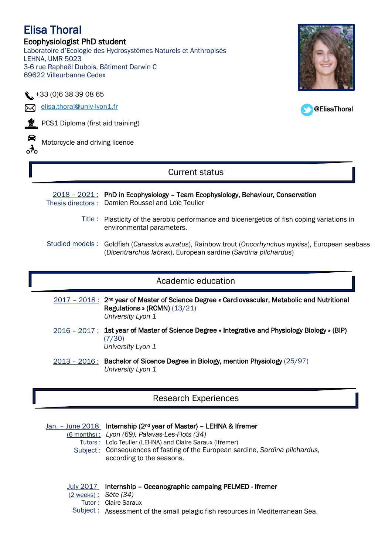## Elisa Thoral Ecophysiologist PhD student Laboratoire d'Ecologie des Hydrosystèmes Naturels et Anthropisés LEHNA, UMR 5023 3-6 rue Raphaël Dubois, Bâtiment Darwin C

@ElisaThoral



69622 Villeurbanne Cedex

**M** [elisa.thoral@univ-lyon1.fr](mailto:elisa.thoral@univ-lyon1.fr)

**Y** PCS1 Diploma (first aid training)

◒ ್ಲೆ

Motorcycle and driving licence

# Current status

 $2018 - 2021$ : PhD in Ecophysiology - Team Ecophysiology, Behaviour, Conservation Thesis directors : Damien Roussel and Loïc Teulier

- Title : Plasticity of the aerobic performance and bioenergetics of fish coping variations in environmental parameters.
- Studied models : Goldfish (Carassius auratus), Rainbow trout (Oncorhynchus mykiss), European seabass (*Dicentrarchus labrax*), European sardine (*Sardina pilchardus*)

# Academic education

2017 - 2018: 2<sup>nd</sup> year of Master of Science Degree « Cardiovascular, Metabolic and Nutritional Regulations » (RCMN) (13/21) *University Lyon 1*

- 2016 2017: 1st year of Master of Science Degree « Integrative and Physiology Biology » (BIP) (7/30) *University Lyon 1*
- 2013 2016 : Bachelor of Sicence Degree in Biology, mention Physiology (25/97) *University Lyon 1*

# Research Experiences

Jan. - June 2018 Internship (2<sup>nd</sup> year of Master) - LEHNA & Ifremer (6 months) : *Lyon (69), Palavas-Les-Flots (34)* Tutors : Loïc Teulier (LEHNA) and Claire Saraux (Ifremer) Subject : Consequences of fasting of the European sardine, *Sardina pilchardus*, according to the seasons.

|                                   | July 2017 Internship - Oceanographic campaing PELMED - Ifremer                |
|-----------------------------------|-------------------------------------------------------------------------------|
| $(2 \text{ weeks})$ : Sète $(34)$ |                                                                               |
|                                   | Tutor: Claire Saraux                                                          |
|                                   | Subject: Assessment of the small pelagic fish resources in Mediterranean Sea. |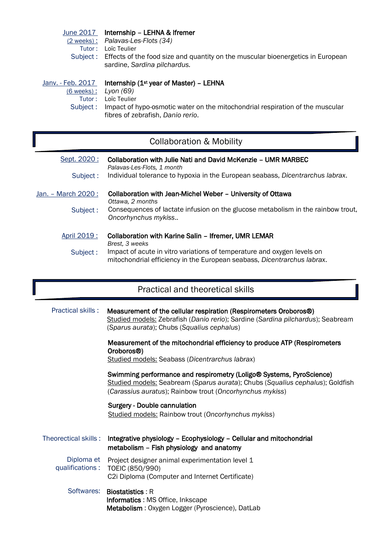| June 2017<br>$(2$ weeks):<br>$T$ utor:<br>Subject:            | Internship - LEHNA & Ifremer<br>Palavas-Les-Flots (34)<br>Loïc Teulier<br>Effects of the food size and quantity on the muscular bioenergetics in European<br>sardine, Sardina pilchardus.    |
|---------------------------------------------------------------|----------------------------------------------------------------------------------------------------------------------------------------------------------------------------------------------|
| Janv. - Feb. 2017<br><u>(6 weeks) :</u><br>Tutor:<br>Subject: | Internship $(1st$ year of Master) – LEHNA<br>Lyon (69)<br>Loïc Teulier<br>Impact of hypo-osmotic water on the mitochondrial respiration of the muscular<br>fibres of zebrafish, Danio rerio. |

# Collaboration & Mobility

| Sept. 2020:         | Collaboration with Julie Nati and David McKenzie - UMR MARBEC<br>Palavas-Les-Flots, 1 month                                                        |
|---------------------|----------------------------------------------------------------------------------------------------------------------------------------------------|
| Subject:            | Individual tolerance to hypoxia in the European seabass, Dicentrarchus labrax.                                                                     |
| Jan. - March 2020 : | Collaboration with Jean-Michel Weber - University of Ottawa<br>Ottawa, 2 months                                                                    |
| Subject:            | Consequences of lactate infusion on the glucose metabolism in the rainbow trout,<br>Oncorhynchus mykiss                                            |
| April 2019 :        | <b>Collaboration with Karine Salin - Ifremer, UMR LEMAR</b><br>Brest, 3 weeks                                                                      |
| Subject:            | Impact of acute in vitro variations of temperature and oxygen levels on<br>mitochondrial efficiency in the European seabass, Dicentrarchus labrax. |

# Practical and theoretical skills

| <b>Practical skills:</b>      | Measurement of the cellular respiration (Respirometers Oroboros®)<br>Studied models: Zebrafish (Danio rerio); Sardine (Sardina pilchardus); Seabream<br>(Sparus aurata); Chubs (Squalius cephalus)                |
|-------------------------------|-------------------------------------------------------------------------------------------------------------------------------------------------------------------------------------------------------------------|
|                               | Measurement of the mitochondrial efficiency to produce ATP (Respirometers<br>Oroboros <sup>®</sup> )<br>Studied models: Seabass (Dicentrarchus labrax)                                                            |
|                               | Swimming performance and respirometry (Loligo® Systems, PyroScience)<br>Studied models: Seabream (Sparus aurata); Chubs (Squalius cephalus); Goldfish<br>(Carassius auratus); Rainbow trout (Oncorhynchus mykiss) |
|                               | <b>Surgery - Double cannulation</b><br><b>Studied models: Rainbow trout (Oncorhynchus mykiss)</b>                                                                                                                 |
| Theorectical skills:          | Integrative physiology - Ecophysiology - Cellular and mitochondrial<br>metabolism - Fish physiology and anatomy                                                                                                   |
| Diploma et<br>qualifications: | Project designer animal experimentation level 1<br>TOEIC (850/990)<br>C2i Diploma (Computer and Internet Certificate)                                                                                             |
| Softwares:                    | <b>Biostatistics: R</b><br>Informatics : MS Office, Inkscape<br>Metabolism: Oxygen Logger (Pyroscience), DatLab                                                                                                   |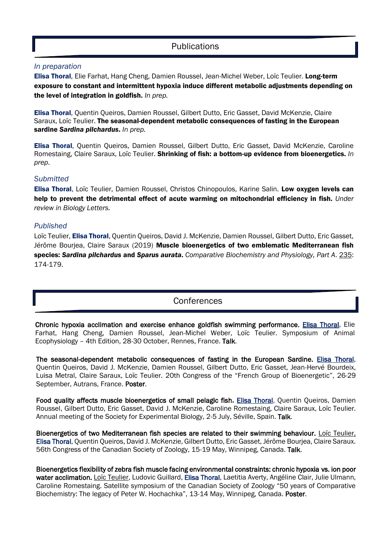## **Publications**

#### *In preparation*

Elisa Thoral, Elie Farhat, Hang Cheng, Damien Roussel, Jean-Michel Weber, Loïc Teulier. Long-term exposure to constant and intermittent hypoxia induce different metabolic adjustments depending on the level of integration in goldfish. *In prep.*

Elisa Thoral, Quentin Queiros, Damien Roussel, Gilbert Dutto, Eric Gasset, David McKenzie, Claire Saraux, Loïc Teulier. The seasonal-dependent metabolic consequences of fasting in the European sardine *Sardina pilchardus*. *In prep.*

Elisa Thoral, Quentin Queiros, Damien Roussel, Gilbert Dutto, Eric Gasset, David McKenzie, Caroline Romestaing, Claire Saraux, Loïc Teulier. Shrinking of fish: a bottom-up evidence from bioenergetics. *In prep*.

#### *Submitted*

Elisa Thoral, Loïc Teulier, Damien Roussel, Christos Chinopoulos, Karine Salin. Low oxygen levels can help to prevent the detrimental effect of acute warming on mitochondrial efficiency in fish. *Under review in Biology Letters.*

#### *Published*

Loïc Teulier, Elisa Thoral, Quentin Queiros, David J. McKenzie, Damien Roussel, Gilbert Dutto, Eric Gasset, Jérôme Bourjea, Claire Saraux (2019) Muscle bioenergetics of two emblematic Mediterranean fish species: *Sardina pilchardus* and *Sparus aurata*. *Comparative Biochemistry and Physiology, Part A*. 235: 174-179.

## **Conferences**

Chronic hypoxia acclimation and exercise enhance goldfish swimming performance. Elisa Thoral, Elie Farhat, Hang Cheng, Damien Roussel, Jean-Michel Weber, Loïc Teulier. Symposium of Animal Ecophysiology – 4th Edition, 28-30 October, Rennes, France. Talk.

The seasonal-dependent metabolic consequences of fasting in the European Sardine. Elisa Thoral, Quentin Queiros, David J. McKenzie, Damien Roussel, Gilbert Dutto, Eric Gasset, Jean-Hervé Bourdeix, Luisa Metral, Claire Saraux, Loïc Teulier. 20th Congress of the "French Group of Bioenergetic", 26-29 September, Autrans, France. Poster.

Food quality affects muscle bioenergetics of small pelagic fish. Elisa Thoral, Quentin Queiros, Damien Roussel, Gilbert Dutto, Eric Gasset, David J. McKenzie, Caroline Romestaing, Claire Saraux, Loïc Teulier. Annual meeting of the Society for Experimental Biology, 2-5 July, Séville, Spain. Talk.

Bioenergetics of two Mediterranean fish species are related to their swimming behaviour. Loïc Teulier, Elisa Thoral, Quentin Queiros, David J. McKenzie, Gilbert Dutto, Eric Gasset, Jérôme Bourjea, Claire Saraux. 56th Congress of the Canadian Society of Zoology, 15-19 May, Winnipeg, Canada. Talk.

Bioenergetics flexibility of zebra fish muscle facing environmental constraints: chronic hypoxia vs. ion poor water acclimation. Loïc Teulier, Ludovic Guillard, Elisa Thoral, Laetitia Averty, Angéline Clair, Julie Ulmann, Caroline Romestaing. Satellite symposium of the Canadian Society of Zoology "50 years of Comparative Biochemistry: The legacy of Peter W. Hochachka", 13-14 May, Winnipeg, Canada. Poster.